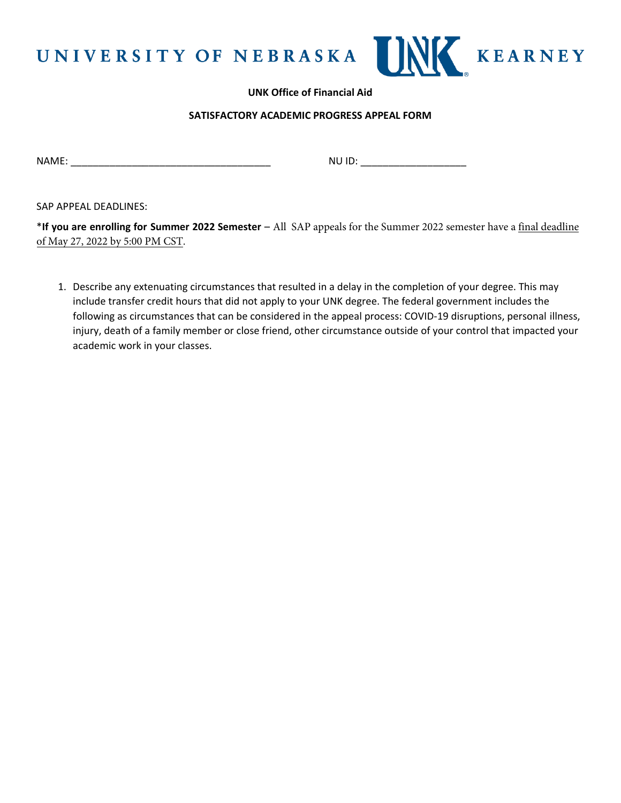UNIVERSITY OF NEBRASKA



## **UNK Office of Financial Aid**

## **SATISFACTORY ACADEMIC PROGRESS APPEAL FORM**

NAME: \_\_\_\_\_\_\_\_\_\_\_\_\_\_\_\_\_\_\_\_\_\_\_\_\_\_\_\_\_\_\_\_\_\_\_\_ NU ID: \_\_\_\_\_\_\_\_\_\_\_\_\_\_\_\_\_\_\_

SAP APPEAL DEADLINES:

\***If you are enrolling for Summer 2022 Semester** – All SAP appeals for the Summer 2022 semester have a final deadline of May 27, 2022 by 5:00 PM CST.

1. Describe any extenuating circumstances that resulted in a delay in the completion of your degree. This may include transfer credit hours that did not apply to your UNK degree. The federal government includes the following as circumstances that can be considered in the appeal process: COVID-19 disruptions, personal illness, injury, death of a family member or close friend, other circumstance outside of your control that impacted your academic work in your classes.